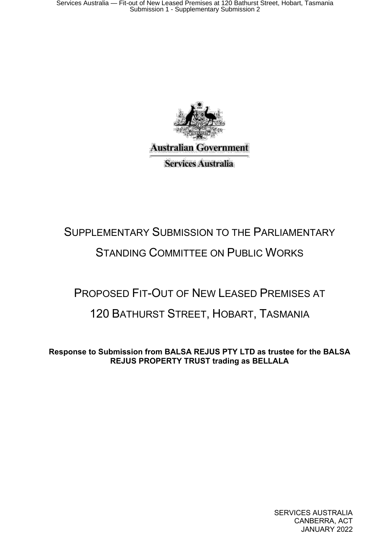

# SUPPLEMENTARY SUBMISSION TO THE PARLIAMENTARY STANDING COMMITTEE ON PUBLIC WORKS

# PROPOSED FIT-OUT OF NEW LEASED PREMISES AT 120 BATHURST STREET, HOBART, TASMANIA

**Response to Submission from BALSA REJUS PTY LTD as trustee for the BALSA REJUS PROPERTY TRUST trading as BELLALA**

> SERVICES AUSTRALIA CANBERRA, ACT JANUARY 2022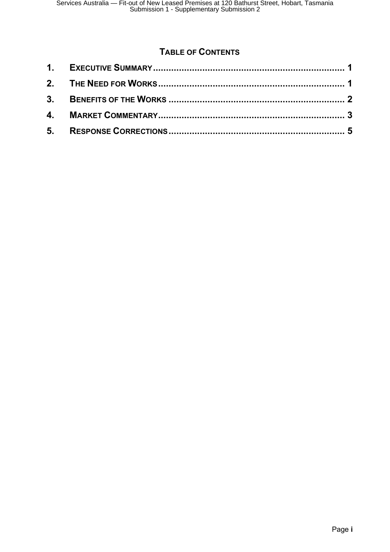### **TABLE OF CONTENTS**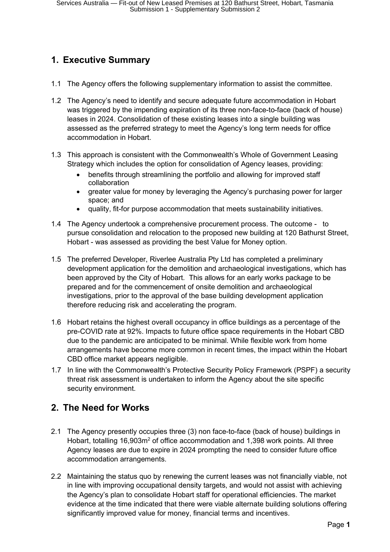## <span id="page-2-0"></span>**1. Executive Summary**

- 1.1 The Agency offers the following supplementary information to assist the committee.
- 1.2 The Agency's need to identify and secure adequate future accommodation in Hobart was triggered by the impending expiration of its three non-face-to-face (back of house) leases in 2024. Consolidation of these existing leases into a single building was assessed as the preferred strategy to meet the Agency's long term needs for office accommodation in Hobart.
- 1.3 This approach is consistent with the Commonwealth's Whole of Government Leasing Strategy which includes the option for consolidation of Agency leases, providing:
	- benefits through streamlining the portfolio and allowing for improved staff collaboration
	- greater value for money by leveraging the Agency's purchasing power for larger space; and
	- quality, fit-for purpose accommodation that meets sustainability initiatives.
- 1.4 The Agency undertook a comprehensive procurement process. The outcome to pursue consolidation and relocation to the proposed new building at 120 Bathurst Street, Hobart - was assessed as providing the best Value for Money option.
- 1.5 The preferred Developer, Riverlee Australia Pty Ltd has completed a preliminary development application for the demolition and archaeological investigations, which has been approved by the City of Hobart. This allows for an early works package to be prepared and for the commencement of onsite demolition and archaeological investigations, prior to the approval of the base building development application therefore reducing risk and accelerating the program.
- 1.6 Hobart retains the highest overall occupancy in office buildings as a percentage of the pre-COVID rate at 92%. Impacts to future office space requirements in the Hobart CBD due to the pandemic are anticipated to be minimal. While flexible work from home arrangements have become more common in recent times, the impact within the Hobart CBD office market appears negligible.
- 1.7 In line with the Commonwealth's Protective Security Policy Framework (PSPF) a security threat risk assessment is undertaken to inform the Agency about the site specific security environment.

#### <span id="page-2-1"></span>**2. The Need for Works**

- 2.1 The Agency presently occupies three (3) non face-to-face (back of house) buildings in Hobart, totalling 16,903m<sup>2</sup> of office accommodation and 1,398 work points. All three Agency leases are due to expire in 2024 prompting the need to consider future office accommodation arrangements.
- 2.2 Maintaining the status quo by renewing the current leases was not financially viable, not in line with improving occupational density targets, and would not assist with achieving the Agency's plan to consolidate Hobart staff for operational efficiencies. The market evidence at the time indicated that there were viable alternate building solutions offering significantly improved value for money, financial terms and incentives.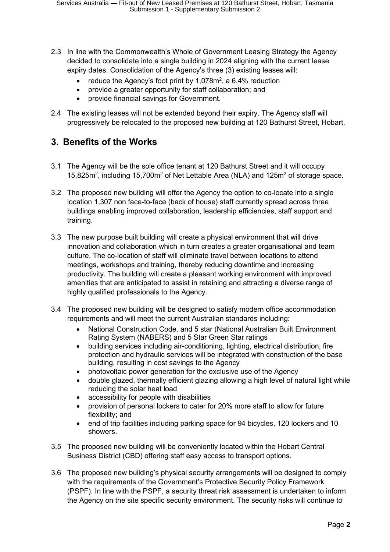- 2.3 In line with the Commonwealth's Whole of Government Leasing Strategy the Agency decided to consolidate into a single building in 2024 aligning with the current lease expiry dates. Consolidation of the Agency's three (3) existing leases will:
	- reduce the Agency's foot print by 1,078 $m^2$ , a 6.4% reduction
	- provide a greater opportunity for staff collaboration; and
	- provide financial savings for Government.
- 2.4 The existing leases will not be extended beyond their expiry. The Agency staff will progressively be relocated to the proposed new building at 120 Bathurst Street, Hobart.

#### <span id="page-3-0"></span>**3. Benefits of the Works**

- 3.1 The Agency will be the sole office tenant at 120 Bathurst Street and it will occupy 15,825m<sup>2</sup>, including 15,700m<sup>2</sup> of Net Lettable Area (NLA) and 125m<sup>2</sup> of storage space.
- 3.2 The proposed new building will offer the Agency the option to co-locate into a single location 1,307 non face-to-face (back of house) staff currently spread across three buildings enabling improved collaboration, leadership efficiencies, staff support and training.
- 3.3 The new purpose built building will create a physical environment that will drive innovation and collaboration which in turn creates a greater organisational and team culture. The co-location of staff will eliminate travel between locations to attend meetings, workshops and training, thereby reducing downtime and increasing productivity. The building will create a pleasant working environment with improved amenities that are anticipated to assist in retaining and attracting a diverse range of highly qualified professionals to the Agency.
- 3.4 The proposed new building will be designed to satisfy modern office accommodation requirements and will meet the current Australian standards including:
	- National Construction Code, and 5 star (National Australian Built Environment Rating System (NABERS) and 5 Star Green Star ratings
	- building services including air-conditioning, lighting, electrical distribution, fire protection and hydraulic services will be integrated with construction of the base building, resulting in cost savings to the Agency
	- photovoltaic power generation for the exclusive use of the Agency
	- double glazed, thermally efficient glazing allowing a high level of natural light while reducing the solar heat load
	- accessibility for people with disabilities
	- provision of personal lockers to cater for 20% more staff to allow for future flexibility; and
	- end of trip facilities including parking space for 94 bicycles, 120 lockers and 10 showers.
- 3.5 The proposed new building will be conveniently located within the Hobart Central Business District (CBD) offering staff easy access to transport options.
- 3.6 The proposed new building's physical security arrangements will be designed to comply with the requirements of the Government's Protective Security Policy Framework (PSPF). In line with the PSPF, a security threat risk assessment is undertaken to inform the Agency on the site specific security environment. The security risks will continue to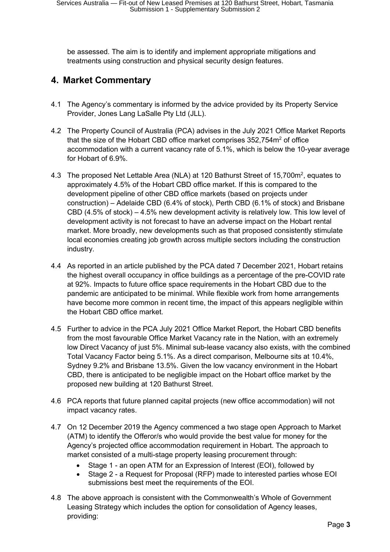be assessed. The aim is to identify and implement appropriate mitigations and treatments using construction and physical security design features.

### <span id="page-4-0"></span>**4. Market Commentary**

- 4.1 The Agency's commentary is informed by the advice provided by its Property Service Provider, Jones Lang LaSalle Pty Ltd (JLL).
- 4.2 The Property Council of Australia (PCA) advises in the July 2021 Office Market Reports that the size of the Hobart CBD office market comprises 352,754m<sup>2</sup> of office accommodation with a current vacancy rate of 5.1%, which is below the 10-year average for Hobart of 6.9%.
- 4.3 The proposed Net Lettable Area (NLA) at 120 Bathurst Street of 15,700m<sup>2</sup>, equates to approximately 4.5% of the Hobart CBD office market. If this is compared to the development pipeline of other CBD office markets (based on projects under construction) – Adelaide CBD (6.4% of stock), Perth CBD (6.1% of stock) and Brisbane CBD (4.5% of stock) – 4.5% new development activity is relatively low. This low level of development activity is not forecast to have an adverse impact on the Hobart rental market. More broadly, new developments such as that proposed consistently stimulate local economies creating job growth across multiple sectors including the construction industry.
- 4.4 As reported in an article published by the PCA dated 7 December 2021, Hobart retains the highest overall occupancy in office buildings as a percentage of the pre-COVID rate at 92%. Impacts to future office space requirements in the Hobart CBD due to the pandemic are anticipated to be minimal. While flexible work from home arrangements have become more common in recent time, the impact of this appears negligible within the Hobart CBD office market.
- 4.5 Further to advice in the PCA July 2021 Office Market Report, the Hobart CBD benefits from the most favourable Office Market Vacancy rate in the Nation, with an extremely low Direct Vacancy of just 5%. Minimal sub-lease vacancy also exists, with the combined Total Vacancy Factor being 5.1%. As a direct comparison, Melbourne sits at 10.4%, Sydney 9.2% and Brisbane 13.5%. Given the low vacancy environment in the Hobart CBD, there is anticipated to be negligible impact on the Hobart office market by the proposed new building at 120 Bathurst Street.
- 4.6 PCA reports that future planned capital projects (new office accommodation) will not impact vacancy rates.
- 4.7 On 12 December 2019 the Agency commenced a two stage open Approach to Market (ATM) to identify the Offeror/s who would provide the best value for money for the Agency's projected office accommodation requirement in Hobart. The approach to market consisted of a multi-stage property leasing procurement through:
	- Stage 1 an open ATM for an Expression of Interest (EOI), followed by
	- Stage 2 a Request for Proposal (RFP) made to interested parties whose EOI submissions best meet the requirements of the EOI.
- 4.8 The above approach is consistent with the Commonwealth's Whole of Government Leasing Strategy which includes the option for consolidation of Agency leases, providing: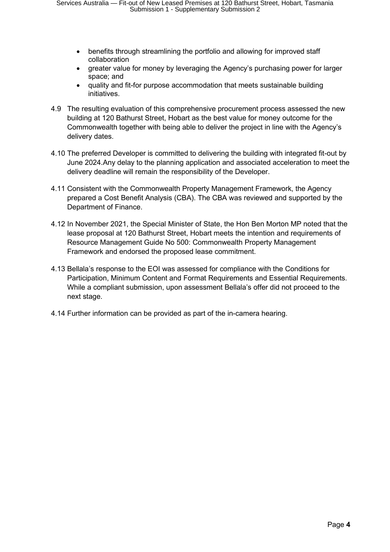- benefits through streamlining the portfolio and allowing for improved staff collaboration
- greater value for money by leveraging the Agency's purchasing power for larger space; and
- quality and fit-for purpose accommodation that meets sustainable building initiatives.
- 4.9 The resulting evaluation of this comprehensive procurement process assessed the new building at 120 Bathurst Street, Hobart as the best value for money outcome for the Commonwealth together with being able to deliver the project in line with the Agency's delivery dates.
- 4.10 The preferred Developer is committed to delivering the building with integrated fit-out by June 2024.Any delay to the planning application and associated acceleration to meet the delivery deadline will remain the responsibility of the Developer.
- 4.11 Consistent with the Commonwealth Property Management Framework, the Agency prepared a Cost Benefit Analysis (CBA). The CBA was reviewed and supported by the Department of Finance.
- 4.12 In November 2021, the Special Minister of State, the Hon Ben Morton MP noted that the lease proposal at 120 Bathurst Street, Hobart meets the intention and requirements of Resource Management Guide No 500: Commonwealth Property Management Framework and endorsed the proposed lease commitment.
- 4.13 Bellala's response to the EOI was assessed for compliance with the Conditions for Participation, Minimum Content and Format Requirements and Essential Requirements. While a compliant submission, upon assessment Bellala's offer did not proceed to the next stage.
- 4.14 Further information can be provided as part of the in-camera hearing.